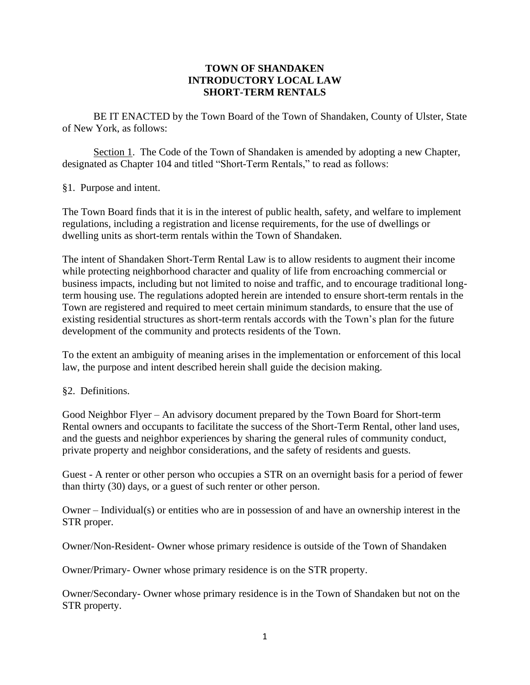## **TOWN OF SHANDAKEN INTRODUCTORY LOCAL LAW SHORT-TERM RENTALS**

BE IT ENACTED by the Town Board of the Town of Shandaken, County of Ulster, State of New York, as follows:

Section 1. The Code of the Town of Shandaken is amended by adopting a new Chapter, designated as Chapter 104 and titled "Short-Term Rentals," to read as follows:

§1. Purpose and intent.

The Town Board finds that it is in the interest of public health, safety, and welfare to implement regulations, including a registration and license requirements, for the use of dwellings or dwelling units as short-term rentals within the Town of Shandaken.

The intent of Shandaken Short-Term Rental Law is to allow residents to augment their income while protecting neighborhood character and quality of life from encroaching commercial or business impacts, including but not limited to noise and traffic, and to encourage traditional longterm housing use. The regulations adopted herein are intended to ensure short-term rentals in the Town are registered and required to meet certain minimum standards, to ensure that the use of existing residential structures as short-term rentals accords with the Town's plan for the future development of the community and protects residents of the Town.

To the extent an ambiguity of meaning arises in the implementation or enforcement of this local law, the purpose and intent described herein shall guide the decision making.

## §2. Definitions.

Good Neighbor Flyer – An advisory document prepared by the Town Board for Short-term Rental owners and occupants to facilitate the success of the Short-Term Rental, other land uses, and the guests and neighbor experiences by sharing the general rules of community conduct, private property and neighbor considerations, and the safety of residents and guests.

Guest - A renter or other person who occupies a STR on an overnight basis for a period of fewer than thirty (30) days, or a guest of such renter or other person.

Owner – Individual(s) or entities who are in possession of and have an ownership interest in the STR proper.

Owner/Non-Resident- Owner whose primary residence is outside of the Town of Shandaken

Owner/Primary- Owner whose primary residence is on the STR property.

Owner/Secondary- Owner whose primary residence is in the Town of Shandaken but not on the STR property.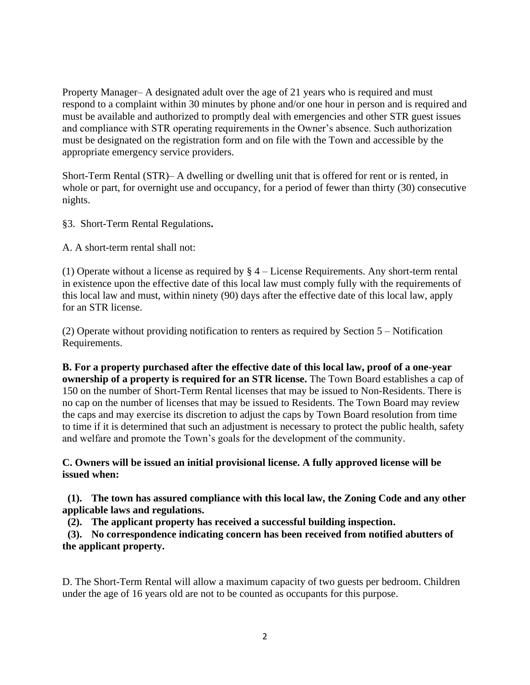Property Manager– A designated adult over the age of 21 years who is required and must respond to a complaint within 30 minutes by phone and/or one hour in person and is required and must be available and authorized to promptly deal with emergencies and other STR guest issues and compliance with STR operating requirements in the Owner's absence. Such authorization must be designated on the registration form and on file with the Town and accessible by the appropriate emergency service providers.

Short-Term Rental (STR)– A dwelling or dwelling unit that is offered for rent or is rented, in whole or part, for overnight use and occupancy, for a period of fewer than thirty (30) consecutive nights.

§3. Short-Term Rental Regulations**.**

A. A short-term rental shall not:

(1) Operate without a license as required by  $\S 4$  – License Requirements. Any short-term rental in existence upon the effective date of this local law must comply fully with the requirements of this local law and must, within ninety (90) days after the effective date of this local law, apply for an STR license.

(2) Operate without providing notification to renters as required by Section 5 – Notification Requirements.

**B. For a property purchased after the effective date of this local law, proof of a one-year ownership of a property is required for an STR license.** The Town Board establishes a cap of 150 on the number of Short-Term Rental licenses that may be issued to Non-Residents. There is no cap on the number of licenses that may be issued to Residents. The Town Board may review the caps and may exercise its discretion to adjust the caps by Town Board resolution from time to time if it is determined that such an adjustment is necessary to protect the public health, safety and welfare and promote the Town's goals for the development of the community.

**C. Owners will be issued an initial provisional license. A fully approved license will be issued when:**

**(1). The town has assured compliance with this local law, the Zoning Code and any other applicable laws and regulations.**

 **(2). The applicant property has received a successful building inspection.**

 **(3). No correspondence indicating concern has been received from notified abutters of the applicant property.**

D. The Short-Term Rental will allow a maximum capacity of two guests per bedroom. Children under the age of 16 years old are not to be counted as occupants for this purpose.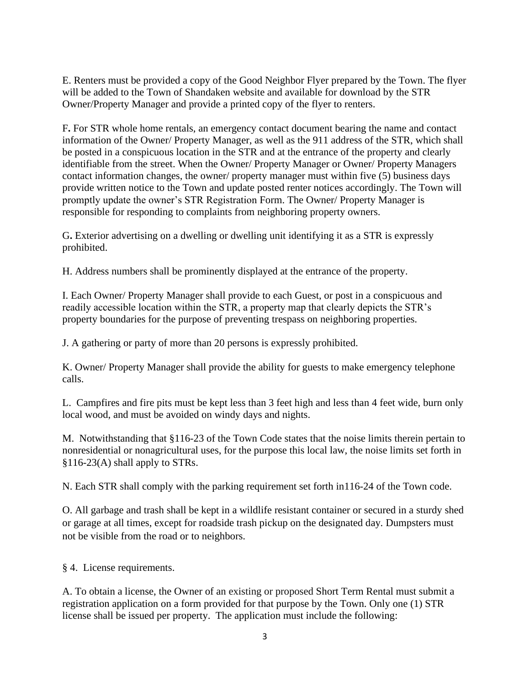E. Renters must be provided a copy of the Good Neighbor Flyer prepared by the Town. The flyer will be added to the Town of Shandaken website and available for download by the STR Owner/Property Manager and provide a printed copy of the flyer to renters.

F**.** For STR whole home rentals, an emergency contact document bearing the name and contact information of the Owner/ Property Manager, as well as the 911 address of the STR, which shall be posted in a conspicuous location in the STR and at the entrance of the property and clearly identifiable from the street. When the Owner/ Property Manager or Owner/ Property Managers contact information changes, the owner/ property manager must within five (5) business days provide written notice to the Town and update posted renter notices accordingly. The Town will promptly update the owner's STR Registration Form. The Owner/ Property Manager is responsible for responding to complaints from neighboring property owners.

G**.** Exterior advertising on a dwelling or dwelling unit identifying it as a STR is expressly prohibited.

H. Address numbers shall be prominently displayed at the entrance of the property.

I. Each Owner/ Property Manager shall provide to each Guest, or post in a conspicuous and readily accessible location within the STR, a property map that clearly depicts the STR's property boundaries for the purpose of preventing trespass on neighboring properties.

J. A gathering or party of more than 20 persons is expressly prohibited.

K. Owner/ Property Manager shall provide the ability for guests to make emergency telephone calls.

L. Campfires and fire pits must be kept less than 3 feet high and less than 4 feet wide, burn only local wood, and must be avoided on windy days and nights.

M. Notwithstanding that §116-23 of the Town Code states that the noise limits therein pertain to nonresidential or nonagricultural uses, for the purpose this local law, the noise limits set forth in §116-23(A) shall apply to STRs.

N. Each STR shall comply with the parking requirement set forth in116-24 of the Town code.

O. All garbage and trash shall be kept in a wildlife resistant container or secured in a sturdy shed or garage at all times, except for roadside trash pickup on the designated day*.* Dumpsters must not be visible from the road or to neighbors.

§ 4. License requirements.

A. To obtain a license, the Owner of an existing or proposed Short Term Rental must submit a registration application on a form provided for that purpose by the Town. Only one (1) STR license shall be issued per property. The application must include the following: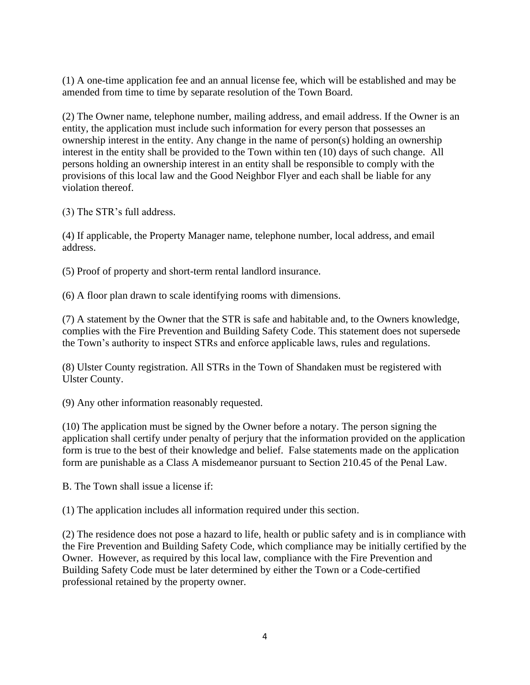(1) A one-time application fee and an annual license fee, which will be established and may be amended from time to time by separate resolution of the Town Board.

(2) The Owner name, telephone number, mailing address, and email address. If the Owner is an entity, the application must include such information for every person that possesses an ownership interest in the entity. Any change in the name of person(s) holding an ownership interest in the entity shall be provided to the Town within ten (10) days of such change. All persons holding an ownership interest in an entity shall be responsible to comply with the provisions of this local law and the Good Neighbor Flyer and each shall be liable for any violation thereof.

(3) The STR's full address.

(4) If applicable, the Property Manager name, telephone number, local address, and email address.

(5) Proof of property and short-term rental landlord insurance.

(6) A floor plan drawn to scale identifying rooms with dimensions.

(7) A statement by the Owner that the STR is safe and habitable and, to the Owners knowledge, complies with the Fire Prevention and Building Safety Code. This statement does not supersede the Town's authority to inspect STRs and enforce applicable laws, rules and regulations.

(8) Ulster County registration. All STRs in the Town of Shandaken must be registered with Ulster County.

(9) Any other information reasonably requested.

(10) The application must be signed by the Owner before a notary. The person signing the application shall certify under penalty of perjury that the information provided on the application form is true to the best of their knowledge and belief. False statements made on the application form are punishable as a Class A misdemeanor pursuant to Section 210.45 of the Penal Law.

B. The Town shall issue a license if:

(1) The application includes all information required under this section.

(2) The residence does not pose a hazard to life, health or public safety and is in compliance with the Fire Prevention and Building Safety Code, which compliance may be initially certified by the Owner. However, as required by this local law, compliance with the Fire Prevention and Building Safety Code must be later determined by either the Town or a Code-certified professional retained by the property owner.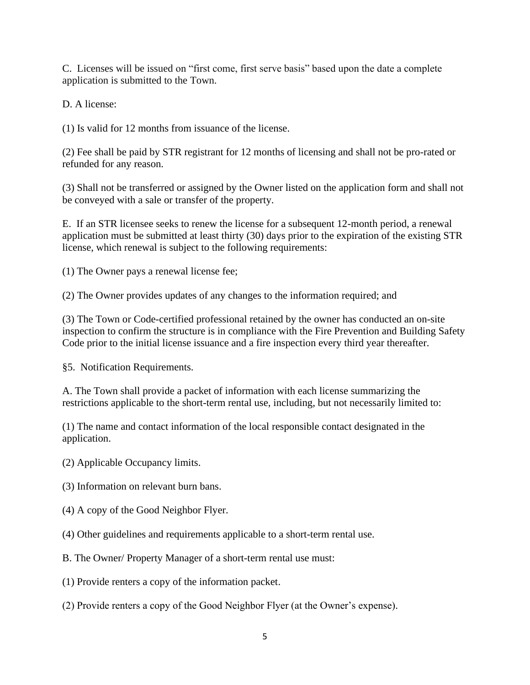C. Licenses will be issued on "first come, first serve basis" based upon the date a complete application is submitted to the Town.

D. A license:

(1) Is valid for 12 months from issuance of the license.

(2) Fee shall be paid by STR registrant for 12 months of licensing and shall not be pro-rated or refunded for any reason.

(3) Shall not be transferred or assigned by the Owner listed on the application form and shall not be conveyed with a sale or transfer of the property.

E. If an STR licensee seeks to renew the license for a subsequent 12-month period, a renewal application must be submitted at least thirty (30) days prior to the expiration of the existing STR license, which renewal is subject to the following requirements:

(1) The Owner pays a renewal license fee;

(2) The Owner provides updates of any changes to the information required; and

(3) The Town or Code-certified professional retained by the owner has conducted an on-site inspection to confirm the structure is in compliance with the Fire Prevention and Building Safety Code prior to the initial license issuance and a fire inspection every third year thereafter.

§5. Notification Requirements.

A. The Town shall provide a packet of information with each license summarizing the restrictions applicable to the short-term rental use, including, but not necessarily limited to:

(1) The name and contact information of the local responsible contact designated in the application.

(2) Applicable Occupancy limits.

(3) Information on relevant burn bans.

- (4) A copy of the Good Neighbor Flyer.
- (4) Other guidelines and requirements applicable to a short-term rental use.

B. The Owner/ Property Manager of a short-term rental use must:

(1) Provide renters a copy of the information packet.

(2) Provide renters a copy of the Good Neighbor Flyer (at the Owner's expense).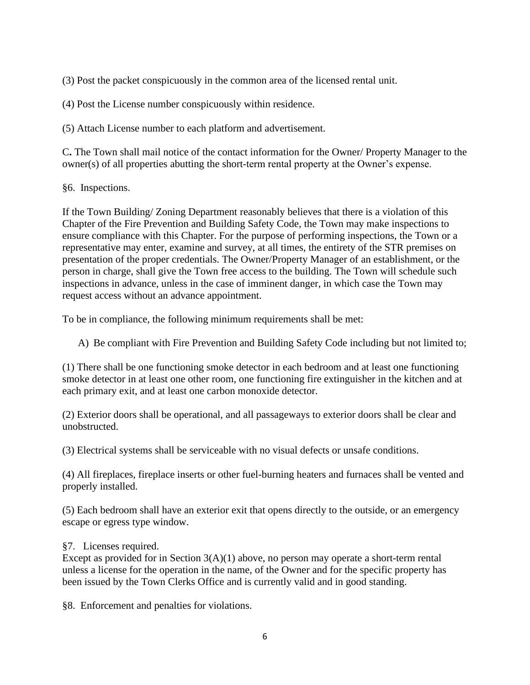(3) Post the packet conspicuously in the common area of the licensed rental unit.

(4) Post the License number conspicuously within residence.

(5) Attach License number to each platform and advertisement.

C**.** The Town shall mail notice of the contact information for the Owner/ Property Manager to the owner(s) of all properties abutting the short-term rental property at the Owner's expense.

§6. Inspections.

If the Town Building/ Zoning Department reasonably believes that there is a violation of this Chapter of the Fire Prevention and Building Safety Code, the Town may make inspections to ensure compliance with this Chapter. For the purpose of performing inspections, the Town or a representative may enter, examine and survey, at all times, the entirety of the STR premises on presentation of the proper credentials. The Owner/Property Manager of an establishment, or the person in charge, shall give the Town free access to the building. The Town will schedule such inspections in advance, unless in the case of imminent danger, in which case the Town may request access without an advance appointment.

To be in compliance, the following minimum requirements shall be met:

A) Be compliant with Fire Prevention and Building Safety Code including but not limited to;

(1) There shall be one functioning smoke detector in each bedroom and at least one functioning smoke detector in at least one other room, one functioning fire extinguisher in the kitchen and at each primary exit, and at least one carbon monoxide detector.

(2) Exterior doors shall be operational, and all passageways to exterior doors shall be clear and unobstructed.

(3) Electrical systems shall be serviceable with no visual defects or unsafe conditions.

(4) All fireplaces, fireplace inserts or other fuel-burning heaters and furnaces shall be vented and properly installed.

(5) Each bedroom shall have an exterior exit that opens directly to the outside, or an emergency escape or egress type window.

§7. Licenses required.

Except as provided for in Section  $3(A)(1)$  above, no person may operate a short-term rental unless a license for the operation in the name, of the Owner and for the specific property has been issued by the Town Clerks Office and is currently valid and in good standing.

§8. Enforcement and penalties for violations.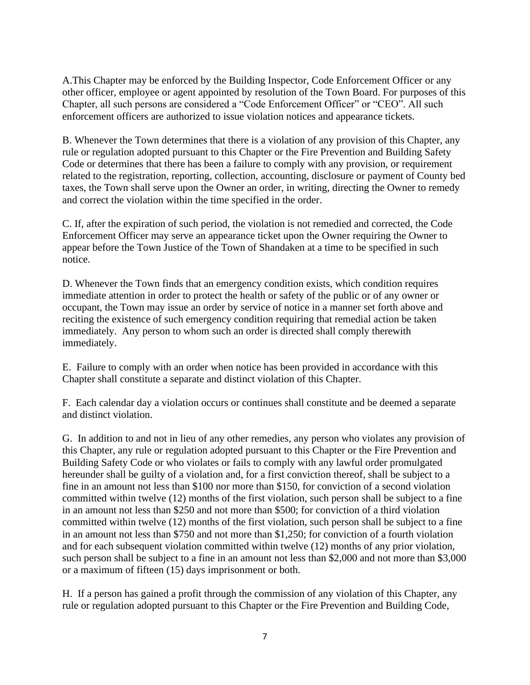A.This Chapter may be enforced by the Building Inspector, Code Enforcement Officer or any other officer, employee or agent appointed by resolution of the Town Board. For purposes of this Chapter, all such persons are considered a "Code Enforcement Officer" or "CEO". All such enforcement officers are authorized to issue violation notices and appearance tickets.

B. Whenever the Town determines that there is a violation of any provision of this Chapter, any rule or regulation adopted pursuant to this Chapter or the Fire Prevention and Building Safety Code or determines that there has been a failure to comply with any provision, or requirement related to the registration, reporting, collection, accounting, disclosure or payment of County bed taxes, the Town shall serve upon the Owner an order, in writing, directing the Owner to remedy and correct the violation within the time specified in the order.

C. If, after the expiration of such period, the violation is not remedied and corrected, the Code Enforcement Officer may serve an appearance ticket upon the Owner requiring the Owner to appear before the Town Justice of the Town of Shandaken at a time to be specified in such notice.

D. Whenever the Town finds that an emergency condition exists, which condition requires immediate attention in order to protect the health or safety of the public or of any owner or occupant, the Town may issue an order by service of notice in a manner set forth above and reciting the existence of such emergency condition requiring that remedial action be taken immediately. Any person to whom such an order is directed shall comply therewith immediately.

E. Failure to comply with an order when notice has been provided in accordance with this Chapter shall constitute a separate and distinct violation of this Chapter.

F. Each calendar day a violation occurs or continues shall constitute and be deemed a separate and distinct violation.

G. In addition to and not in lieu of any other remedies, any person who violates any provision of this Chapter, any rule or regulation adopted pursuant to this Chapter or the Fire Prevention and Building Safety Code or who violates or fails to comply with any lawful order promulgated hereunder shall be guilty of a violation and, for a first conviction thereof, shall be subject to a fine in an amount not less than \$100 nor more than \$150, for conviction of a second violation committed within twelve (12) months of the first violation, such person shall be subject to a fine in an amount not less than \$250 and not more than \$500; for conviction of a third violation committed within twelve (12) months of the first violation, such person shall be subject to a fine in an amount not less than \$750 and not more than \$1,250; for conviction of a fourth violation and for each subsequent violation committed within twelve (12) months of any prior violation, such person shall be subject to a fine in an amount not less than \$2,000 and not more than \$3,000 or a maximum of fifteen (15) days imprisonment or both.

H. If a person has gained a profit through the commission of any violation of this Chapter, any rule or regulation adopted pursuant to this Chapter or the Fire Prevention and Building Code,